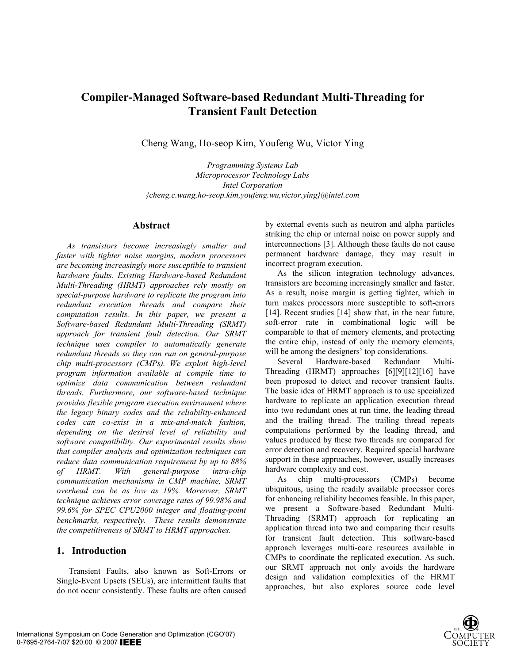# **Compiler-Managed Software-based Redundant Multi-Threading for Transient Fault Detection**

Cheng Wang, Ho-seop Kim, Youfeng Wu, Victor Ying

*Programming Systems Lab Microprocessor Technology Labs Intel Corporation {cheng.c.wang,ho-seop.kim,youfeng.wu,victor.ying}@intel.com* 

### **Abstract**

*As transistors become increasingly smaller and faster with tighter noise margins, modern processors are becoming increasingly more susceptible to transient hardware faults. Existing Hardware-based Redundant Multi-Threading (HRMT) approaches rely mostly on special-purpose hardware to replicate the program into redundant execution threads and compare their computation results. In this paper, we present a Software-based Redundant Multi-Threading (SRMT) approach for transient fault detection. Our SRMT technique uses compiler to automatically generate redundant threads so they can run on general-purpose chip multi-processors (CMPs). We exploit high-level program information available at compile time to optimize data communication between redundant threads. Furthermore, our software-based technique provides flexible program execution environment where the legacy binary codes and the reliability-enhanced codes can co-exist in a mix-and-match fashion, depending on the desired level of reliability and software compatibility. Our experimental results show that compiler analysis and optimization techniques can reduce data communication requirement by up to 88% of HRMT. With general-purpose intra-chip communication mechanisms in CMP machine, SRMT overhead can be as low as 19%. Moreover, SRMT technique achieves error coverage rates of 99.98% and 99.6% for SPEC CPU2000 integer and floating-point benchmarks, respectively. These results demonstrate the competitiveness of SRMT to HRMT approaches.* 

### **1. Introduction**

Transient Faults, also known as Soft-Errors or Single-Event Upsets (SEUs), are intermittent faults that do not occur consistently. These faults are often caused by external events such as neutron and alpha particles striking the chip or internal noise on power supply and interconnections [3]. Although these faults do not cause permanent hardware damage, they may result in incorrect program execution.

As the silicon integration technology advances, transistors are becoming increasingly smaller and faster. As a result, noise margin is getting tighter, which in turn makes processors more susceptible to soft-errors [14]. Recent studies [14] show that, in the near future, soft-error rate in combinational logic will be comparable to that of memory elements, and protecting the entire chip, instead of only the memory elements, will be among the designers' top considerations.

Several Hardware-based Redundant Multi-Threading (HRMT) approaches [6][9][12][16] have been proposed to detect and recover transient faults. The basic idea of HRMT approach is to use specialized hardware to replicate an application execution thread into two redundant ones at run time, the leading thread and the trailing thread. The trailing thread repeats computations performed by the leading thread, and values produced by these two threads are compared for error detection and recovery. Required special hardware support in these approaches, however, usually increases hardware complexity and cost.

As chip multi-processors (CMPs) become ubiquitous, using the readily available processor cores for enhancing reliability becomes feasible. In this paper, we present a Software-based Redundant Multi-Threading (SRMT) approach for replicating an application thread into two and comparing their results for transient fault detection. This software-based approach leverages multi-core resources available in CMPs to coordinate the replicated execution. As such, our SRMT approach not only avoids the hardware design and validation complexities of the HRMT approaches, but also explores source code level

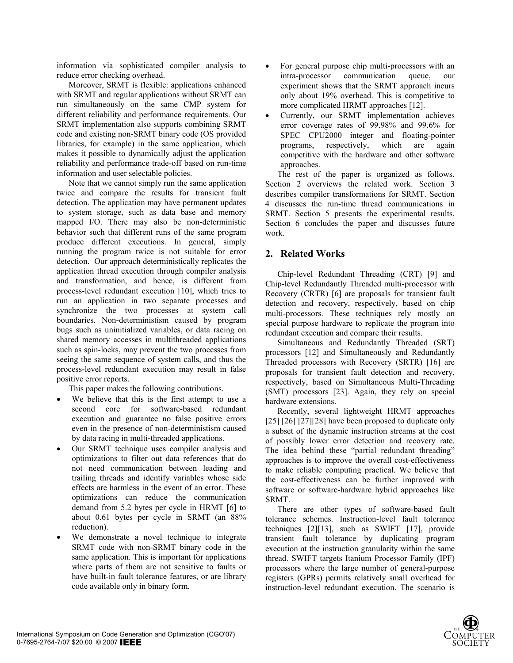information via sophisticated compiler analysis to reduce error checking overhead.

Moreover, SRMT is flexible: applications enhanced with SRMT and regular applications without SRMT can run simultaneously on the same CMP system for different reliability and performance requirements. Our SRMT implementation also supports combining SRMT code and existing non-SRMT binary code (OS provided libraries, for example) in the same application, which makes it possible to dynamically adjust the application reliability and performance trade-off based on run-time information and user selectable policies.

Note that we cannot simply run the same application twice and compare the results for transient fault detection. The application may have permanent updates to system storage, such as data base and memory mapped I/O. There may also be non-deterministic behavior such that different runs of the same program produce different executions. In general, simply running the program twice is not suitable for error detection. Our approach deterministically replicates the application thread execution through compiler analysis and transformation, and hence, is different from process-level redundant execution [10], which tries to run an application in two separate processes and synchronize the two processes at system call boundaries. Non-deterministism caused by program bugs such as uninitialized variables, or data racing on shared memory accesses in multithreaded applications such as spin-locks, may prevent the two processes from seeing the same sequence of system calls, and thus the process-level redundant execution may result in false positive error reports.

This paper makes the following contributions.

- We believe that this is the first attempt to use a second core for software-based redundant execution and guarantee no false positive errors even in the presence of non-deterministism caused by data racing in multi-threaded applications.
- Our SRMT technique uses compiler analysis and optimizations to filter out data references that do not need communication between leading and trailing threads and identify variables whose side effects are harmless in the event of an error. These optimizations can reduce the communication demand from 5.2 bytes per cycle in HRMT [6] to about 0.61 bytes per cycle in SRMT (an 88% reduction).
- We demonstrate a novel technique to integrate SRMT code with non-SRMT binary code in the same application. This is important for applications where parts of them are not sensitive to faults or have built-in fault tolerance features, or are library code available only in binary form.
- For general purpose chip multi-processors with an intra-processor communication queue, our experiment shows that the SRMT approach incurs only about 19% overhead. This is competitive to more complicated HRMT approaches [12].
- Currently, our SRMT implementation achieves error coverage rates of 99.98% and 99.6% for SPEC CPU2000 integer and floating-pointer programs, respectively, which are again competitive with the hardware and other software approaches.

The rest of the paper is organized as follows. Section 2 overviews the related work. Section 3 describes compiler transformations for SRMT. Section 4 discusses the run-time thread communications in SRMT. Section 5 presents the experimental results. Section 6 concludes the paper and discusses future work.

# **2. Related Works**

Chip-level Redundant Threading (CRT) [9] and Chip-level Redundantly Threaded multi-processor with Recovery (CRTR) [6] are proposals for transient fault detection and recovery, respectively, based on chip multi-processors. These techniques rely mostly on special purpose hardware to replicate the program into redundant execution and compare their results.

Simultaneous and Redundantly Threaded (SRT) processors [12] and Simultaneously and Redundantly Threaded processors with Recovery (SRTR) [16] are proposals for transient fault detection and recovery, respectively, based on Simultaneous Multi-Threading (SMT) processors [23]. Again, they rely on special hardware extensions.

Recently, several lightweight HRMT approaches [25] [26] [27] [28] have been proposed to duplicate only a subset of the dynamic instruction streams at the cost of possibly lower error detection and recovery rate. The idea behind these "partial redundant threading" approaches is to improve the overall cost-effectiveness to make reliable computing practical. We believe that the cost-effectiveness can be further improved with software or software-hardware hybrid approaches like SRMT.

There are other types of software-based fault tolerance schemes. Instruction-level fault tolerance techniques [2][13], such as SWIFT [17], provide transient fault tolerance by duplicating program execution at the instruction granularity within the same thread. SWIFT targets Itanium Processor Family (IPF) processors where the large number of general-purpose registers (GPRs) permits relatively small overhead for instruction-level redundant execution. The scenario is

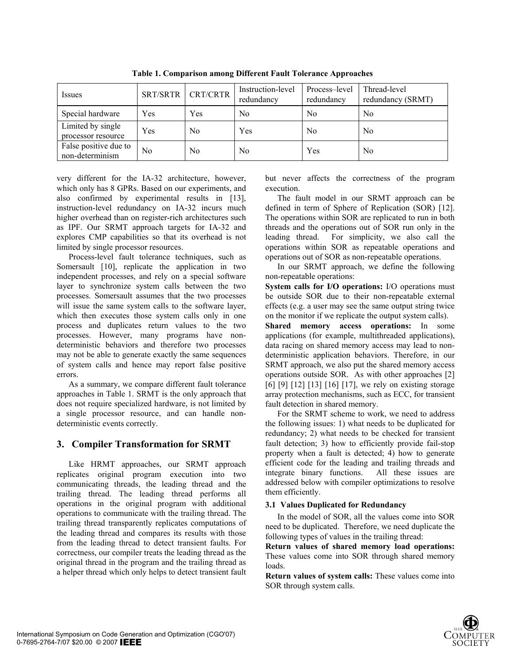| Issues                                   | SRT/SRTR | <b>CRT/CRTR</b> | Instruction-level<br>redundancy | Process–level<br>redundancy | Thread-level<br>redundancy (SRMT) |
|------------------------------------------|----------|-----------------|---------------------------------|-----------------------------|-----------------------------------|
| Special hardware                         | Yes      | Yes             | No                              | N <sub>0</sub>              | N <sub>0</sub>                    |
| Limited by single<br>processor resource  | Yes      | No              | Yes                             | N <sub>0</sub>              | N <sub>0</sub>                    |
| False positive due to<br>non-determinism | No       | No              | No                              | Yes                         | N <sub>0</sub>                    |

**Table 1. Comparison among Different Fault Tolerance Approaches**

very different for the IA-32 architecture, however, which only has 8 GPRs. Based on our experiments, and also confirmed by experimental results in [13], instruction-level redundancy on IA-32 incurs much higher overhead than on register-rich architectures such as IPF. Our SRMT approach targets for IA-32 and explores CMP capabilities so that its overhead is not limited by single processor resources.

Process-level fault tolerance techniques, such as Somersault [10], replicate the application in two independent processes, and rely on a special software layer to synchronize system calls between the two processes. Somersault assumes that the two processes will issue the same system calls to the software layer, which then executes those system calls only in one process and duplicates return values to the two processes. However, many programs have nondeterministic behaviors and therefore two processes may not be able to generate exactly the same sequences of system calls and hence may report false positive errors.

As a summary, we compare different fault tolerance approaches in Table 1. SRMT is the only approach that does not require specialized hardware, is not limited by a single processor resource, and can handle nondeterministic events correctly.

# **3. Compiler Transformation for SRMT**

Like HRMT approaches, our SRMT approach replicates original program execution into two communicating threads, the leading thread and the trailing thread. The leading thread performs all operations in the original program with additional operations to communicate with the trailing thread. The trailing thread transparently replicates computations of the leading thread and compares its results with those from the leading thread to detect transient faults. For correctness, our compiler treats the leading thread as the original thread in the program and the trailing thread as a helper thread which only helps to detect transient fault

but never affects the correctness of the program execution.

The fault model in our SRMT approach can be defined in term of Sphere of Replication (SOR) [12]. The operations within SOR are replicated to run in both threads and the operations out of SOR run only in the leading thread. For simplicity, we also call the operations within SOR as repeatable operations and operations out of SOR as non-repeatable operations.

In our SRMT approach, we define the following non-repeatable operations:

**System calls for I/O operations:** I/O operations must be outside SOR due to their non-repeatable external effects (e.g. a user may see the same output string twice on the monitor if we replicate the output system calls).

**Shared memory access operations:** In some applications (for example, multithreaded applications), data racing on shared memory access may lead to nondeterministic application behaviors. Therefore, in our SRMT approach, we also put the shared memory access operations outside SOR. As with other approaches [2] [6] [9] [12] [13] [16] [17], we rely on existing storage array protection mechanisms, such as ECC, for transient fault detection in shared memory.

For the SRMT scheme to work, we need to address the following issues: 1) what needs to be duplicated for redundancy; 2) what needs to be checked for transient fault detection; 3) how to efficiently provide fail-stop property when a fault is detected; 4) how to generate efficient code for the leading and trailing threads and integrate binary functions. All these issues are addressed below with compiler optimizations to resolve them efficiently.

### **3.1 Values Duplicated for Redundancy**

In the model of SOR, all the values come into SOR need to be duplicated. Therefore, we need duplicate the following types of values in the trailing thread:

**Return values of shared memory load operations:**  These values come into SOR through shared memory loads.

**Return values of system calls:** These values come into SOR through system calls.

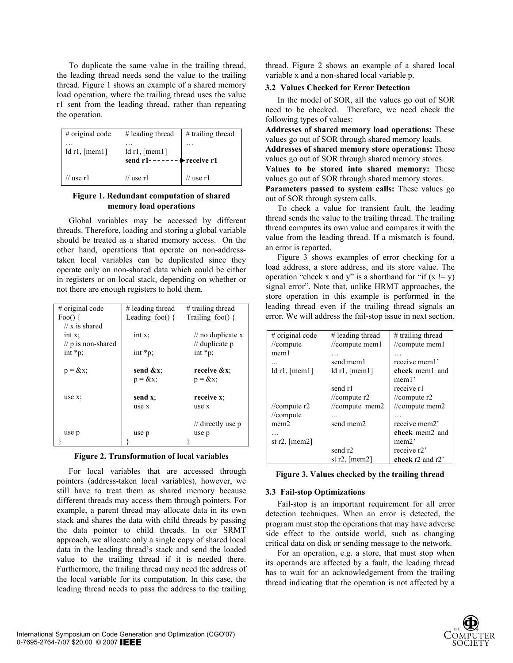To duplicate the same value in the trailing thread, the leading thread needs send the value to the trailing thread. Figure 1 shows an example of a shared memory load operation, where the trailing thread uses the value r1 sent from the leading thread, rather than repeating the operation.

| $#$ original code    | # leading thread                    | # trailing thread                |
|----------------------|-------------------------------------|----------------------------------|
| $ldr1$ , [mem1]      | $ldr1$ , [mem1]<br>send $r1$ ------ | $\blacktriangleright$ receive r1 |
| $\frac{1}{2}$ use r1 | $\frac{1}{2}$ use r1                | $\frac{1}{2}$ use r1             |

#### **Figure 1. Redundant computation of shared memory load operations**

Global variables may be accessed by different threads. Therefore, loading and storing a global variable should be treated as a shared memory access. On the other hand, operations that operate on non-addresstaken local variables can be duplicated since they operate only on non-shared data which could be either in registers or on local stack, depending on whether or not there are enough registers to hold them.

| # original code               | $#$ leading thread | $#$ trailing thread            |
|-------------------------------|--------------------|--------------------------------|
| Foo $() \{$                   | Leading foo() $\{$ | Trailing foo() $\{$            |
| $\frac{1}{x}$ is shared       |                    |                                |
| $int x$ ;                     | int x              | $\frac{1}{\pi}$ no duplicate x |
| $\frac{1}{\pi}$ is non-shared |                    | $\frac{1}{2}$ duplicate p      |
| int $\ast p$ ;                | int $\ast p$ ;     | int $\ast p$ ;                 |
|                               |                    |                                |
| $p = \&x$                     | send $\&x$ .       | receive &x:                    |
|                               | $p = \&x$ :        | $p = \&x$ .                    |
|                               |                    |                                |
| use x;                        | send $x$ :         | receive x:                     |
|                               | use x              | use x                          |
|                               |                    |                                |
|                               |                    | $\frac{1}{2}$ directly use p   |
| use p                         | use p              | use p                          |
|                               |                    |                                |



For local variables that are accessed through pointers (address-taken local variables), however, we still have to treat them as shared memory because different threads may access them through pointers. For example, a parent thread may allocate data in its own stack and shares the data with child threads by passing the data pointer to child threads. In our SRMT approach, we allocate only a single copy of shared local data in the leading thread's stack and send the loaded value to the trailing thread if it is needed there. Furthermore, the trailing thread may need the address of the local variable for its computation. In this case, the leading thread needs to pass the address to the trailing

thread. Figure 2 shows an example of a shared local variable x and a non-shared local variable p.

### **3.2 Values Checked for Error Detection**

In the model of SOR, all the values go out of SOR need to be checked. Therefore, we need check the following types of values:

**Addresses of shared memory load operations:** These values go out of SOR through shared memory loads.

**Addresses of shared memory store operations:** These values go out of SOR through shared memory stores.

**Values to be stored into shared memory:** These values go out of SOR through shared memory stores.

Parameters passed to system calls: These values go out of SOR through system calls.

To check a value for transient fault, the leading thread sends the value to the trailing thread. The trailing thread computes its own value and compares it with the value from the leading thread. If a mismatch is found, an error is reported.

Figure 3 shows examples of error checking for a load address, a store address, and its store value. The operation "check x and y" is a shorthand for "if  $(x != y)$ " signal error". Note that, unlike HRMT approaches, the store operation in this example is performed in the leading thread even if the trailing thread signals an error. We will address the fail-stop issue in next section.

| # original code              | # leading thread                | $#$ trailing thread        |
|------------------------------|---------------------------------|----------------------------|
| $\sqrt{\frac{1}{2}}$ compute | $\frac{1}{\text{compute}}$ mem1 | $\ell$ compute mem $\ell$  |
| mem l                        | $\ddotsc$                       |                            |
|                              | send mem1                       | receive mem1'              |
| ldr1, [mem1]                 | $ldr1$ , [mem $1$ ]             | check mem1 and             |
|                              |                                 | $m$ em $1$ '               |
|                              | send r1                         | receive r1                 |
|                              | $\sqrt{\frac{1}{2}}$ compute r2 | //compute $r2$             |
| //compute $r2$               | $\ell$ compute mem $2$          | $\ell$ compute mem2        |
| $\sqrt{\frac{1}{2}}$ compute |                                 |                            |
| $m$ em $2$                   | send mem <sub>2</sub>           | receive mem2'              |
| .                            |                                 | check mem <sub>2</sub> and |
| st $r2$ , [mem2]             |                                 | $m$ em $2$ '               |
|                              | send r2                         | receive r2'                |
|                              | st $r2$ , [mem2]                | check $r2$ and $r2$        |

### **Figure 3. Values checked by the trailing thread**

### **3.3 Fail-stop Optimizations**

Fail-stop is an important requirement for all error detection techniques. When an error is detected, the program must stop the operations that may have adverse side effect to the outside world, such as changing critical data on disk or sending message to the network.

For an operation, e.g. a store, that must stop when its operands are affected by a fault, the leading thread has to wait for an acknowledgement from the trailing thread indicating that the operation is not affected by a

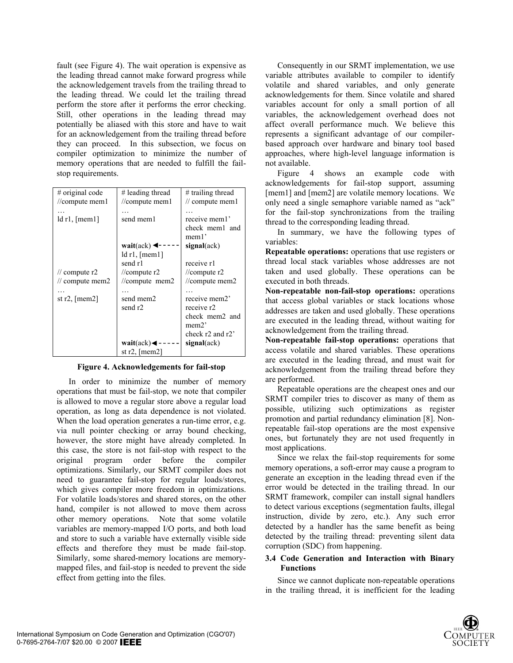fault (see Figure 4). The wait operation is expensive as the leading thread cannot make forward progress while the acknowledgement travels from the trailing thread to the leading thread. We could let the trailing thread perform the store after it performs the error checking. Still, other operations in the leading thread may potentially be aliased with this store and have to wait for an acknowledgement from the trailing thread before they can proceed. In this subsection, we focus on compiler optimization to minimize the number of memory operations that are needed to fulfill the failstop requirements.

| # original code            | # leading thread                 | $#$ trailing thread                        |
|----------------------------|----------------------------------|--------------------------------------------|
| $\ell$ compute mem $1$     | $\ell$ compute mem $1$           | $\frac{1}{2}$ compute mem1                 |
|                            |                                  |                                            |
| $ldr1$ , [mem1]            | send mem1                        | receive mem1'                              |
|                            |                                  | check mem1 and<br>mem <sup>1</sup>         |
|                            | wait(ack) $\blacktriangleleft$ - | signal(ack)                                |
|                            | $ldr1$ , [mem1]                  |                                            |
|                            | send r1                          | receive r1                                 |
| // compute $r2$            | //compute $r2$                   | //compute $r2$                             |
| $\frac{1}{2}$ compute mem2 | $\ell$ compute mem $2$           | $\ell$ compute mem $2$                     |
|                            |                                  |                                            |
| st $r2$ , [mem2]           | send mem2                        | receive mem2'                              |
|                            | send r2                          | receive r2                                 |
|                            |                                  | check mem <sub>2</sub> and<br>$m$ em $2$ ' |
|                            |                                  | check r2 and r2'                           |
|                            | wait(ack) $\blacktriangleleft$   | signal(ack)                                |
|                            | st $r2$ , [mem2]                 |                                            |

#### **Figure 4. Acknowledgements for fail-stop**

In order to minimize the number of memory operations that must be fail-stop, we note that compiler is allowed to move a regular store above a regular load operation, as long as data dependence is not violated. When the load operation generates a run-time error, e.g. via null pointer checking or array bound checking, however, the store might have already completed. In this case, the store is not fail-stop with respect to the original program order before the compiler optimizations. Similarly, our SRMT compiler does not need to guarantee fail-stop for regular loads/stores, which gives compiler more freedom in optimizations. For volatile loads/stores and shared stores, on the other hand, compiler is not allowed to move them across other memory operations. Note that some volatile variables are memory-mapped I/O ports, and both load and store to such a variable have externally visible side effects and therefore they must be made fail-stop. Similarly, some shared-memory locations are memorymapped files, and fail-stop is needed to prevent the side effect from getting into the files.

Consequently in our SRMT implementation, we use variable attributes available to compiler to identify volatile and shared variables, and only generate acknowledgements for them. Since volatile and shared variables account for only a small portion of all variables, the acknowledgement overhead does not affect overall performance much. We believe this represents a significant advantage of our compilerbased approach over hardware and binary tool based approaches, where high-level language information is not available.

Figure 4 shows an example code with acknowledgements for fail-stop support, assuming [mem1] and [mem2] are volatile memory locations. We only need a single semaphore variable named as "ack" for the fail-stop synchronizations from the trailing thread to the corresponding leading thread.

In summary, we have the following types of variables:

**Repeatable operations:** operations that use registers or thread local stack variables whose addresses are not taken and used globally. These operations can be executed in both threads.

**Non-repeatable non-fail-stop operations:** operations that access global variables or stack locations whose addresses are taken and used globally. These operations are executed in the leading thread, without waiting for acknowledgement from the trailing thread.

**Non-repeatable fail-stop operations:** operations that access volatile and shared variables. These operations are executed in the leading thread, and must wait for acknowledgement from the trailing thread before they are performed.

Repeatable operations are the cheapest ones and our SRMT compiler tries to discover as many of them as possible, utilizing such optimizations as register promotion and partial redundancy elimination [8]. Nonrepeatable fail-stop operations are the most expensive ones, but fortunately they are not used frequently in most applications.

Since we relax the fail-stop requirements for some memory operations, a soft-error may cause a program to generate an exception in the leading thread even if the error would be detected in the trailing thread. In our SRMT framework, compiler can install signal handlers to detect various exceptions (segmentation faults, illegal instruction, divide by zero, etc.). Any such error detected by a handler has the same benefit as being detected by the trailing thread: preventing silent data corruption (SDC) from happening.

### **3.4 Code Generation and Interaction with Binary Functions**

Since we cannot duplicate non-repeatable operations in the trailing thread, it is inefficient for the leading

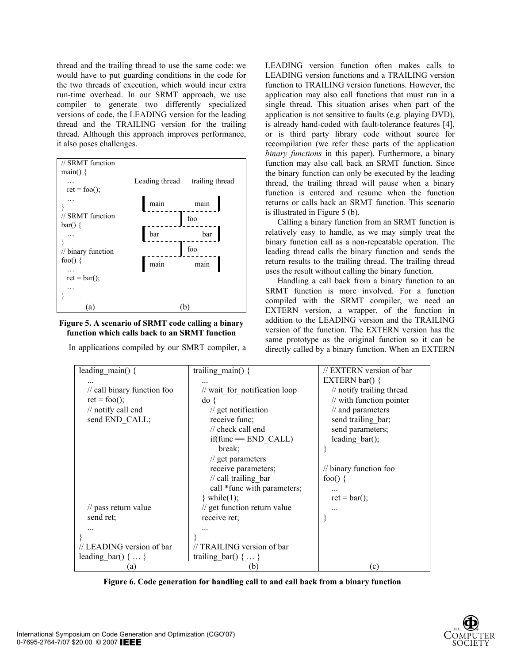thread and the trailing thread to use the same code: we would have to put guarding conditions in the code for the two threads of execution, which would incur extra run-time overhead. In our SRMT approach, we use compiler to generate two differently specialized versions of code, the LEADING version for the leading thread and the TRAILING version for the trailing thread. Although this approach improves performance, it also poses challenges.



**Figure 5. A scenario of SRMT code calling a binary function which calls back to an SRMT function** 

In applications compiled by our SMRT compiler, a

LEADING version function often makes calls to LEADING version functions and a TRAILING version function to TRAILING version functions. However, the application may also call functions that must run in a single thread. This situation arises when part of the application is not sensitive to faults (e.g. playing DVD), is already hand-coded with fault-tolerance features [4], or is third party library code without source for recompilation (we refer these parts of the application *binary functions* in this paper). Furthermore, a binary function may also call back an SRMT function. Since the binary function can only be executed by the leading thread, the trailing thread will pause when a binary function is entered and resume when the function returns or calls back an SRMT function. This scenario is illustrated in Figure 5 (b).

Calling a binary function from an SRMT function is relatively easy to handle, as we may simply treat the binary function call as a non-repeatable operation. The leading thread calls the binary function and sends the return results to the trailing thread. The trailing thread uses the result without calling the binary function.

Handling a call back from a binary function to an SRMT function is more involved. For a function compiled with the SRMT compiler, we need an EXTERN version, a wrapper, of the function in addition to the LEADING version and the TRAILING version of the function. The EXTERN version has the same prototype as the original function so it can be directly called by a binary function. When an EXTERN

| leading main() {                       | trailing main() {               | // EXTERN version of bar     |
|----------------------------------------|---------------------------------|------------------------------|
|                                        |                                 | EXTERN bar() $\{$            |
| $\frac{1}{2}$ call binary function foo | // wait for notification loop   | // notify trailing thread    |
| $ret = foo()$ ;                        | $\text{do}$ {                   | // with function pointer     |
| $\frac{1}{2}$ notify call end          | $\frac{1}{2}$ get notification  | $\frac{1}{2}$ and parameters |
| send END CALL;                         | receive func;                   | send trailing bar;           |
|                                        | $\frac{1}{2}$ check call end    | send parameters;             |
|                                        | $if(func == END CALL)$          | leading $bar()$ ;            |
|                                        | break;                          |                              |
|                                        | $\frac{1}{2}$ get parameters    |                              |
|                                        | receive parameters;             | // binary function foo       |
|                                        | $\frac{1}{2}$ call trailing bar | foo() $\{$                   |
|                                        | call *func with parameters;     |                              |
|                                        | $\}$ while(1);                  | $ret = bar()$ ;              |
| $\frac{1}{2}$ pass return value        | // get function return value    |                              |
| send ret;                              | receive ret;                    |                              |
|                                        |                                 |                              |
|                                        |                                 |                              |
| // LEADING version of bar              | TRAILING version of bar         |                              |
| leading bar() { }                      | trailing bar() { }              |                              |
| a)                                     | $\mathbf{b}$                    | $\left( c\right)$            |

**Figure 6. Code generation for handling call to and call back from a binary function** 

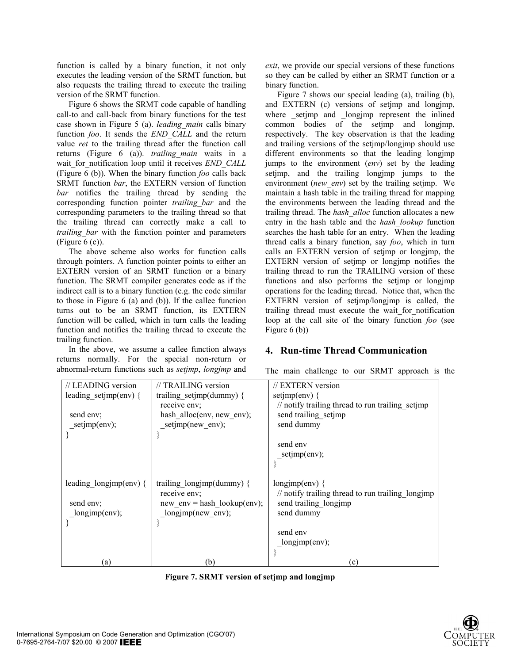function is called by a binary function, it not only executes the leading version of the SRMT function, but also requests the trailing thread to execute the trailing version of the SRMT function.

Figure 6 shows the SRMT code capable of handling call-to and call-back from binary functions for the test case shown in Figure 5 (a). *leading\_main* calls binary function *foo*. It sends the *END\_CALL* and the return value *ret* to the trailing thread after the function call returns (Figure 6 (a)). *trailing\_main* waits in a wait for notification loop until it receives *END\_CALL* (Figure 6 (b)). When the binary function *foo* calls back SRMT function *bar*, the EXTERN version of function *bar* notifies the trailing thread by sending the corresponding function pointer *trailing\_bar* and the corresponding parameters to the trailing thread so that the trailing thread can correctly make a call to *trailing\_bar* with the function pointer and parameters (Figure 6 (c)).

The above scheme also works for function calls through pointers. A function pointer points to either an EXTERN version of an SRMT function or a binary function. The SRMT compiler generates code as if the indirect call is to a binary function (e.g. the code similar to those in Figure 6 (a) and (b)). If the callee function turns out to be an SRMT function, its EXTERN function will be called, which in turn calls the leading function and notifies the trailing thread to execute the trailing function.

In the above, we assume a callee function always returns normally. For the special non-return or abnormal-return functions such as *setjmp*, *longjmp* and *exit*, we provide our special versions of these functions so they can be called by either an SRMT function or a binary function.

Figure 7 shows our special leading (a), trailing (b), and EXTERN (c) versions of setjmp and longjmp, where \_setjmp and \_longjmp represent the inlined common bodies of the setjmp and longjmp, respectively. The key observation is that the leading and trailing versions of the setjmp/longjmp should use different environments so that the leading longjmp jumps to the environment (*env*) set by the leading setjmp, and the trailing longjmp jumps to the environment *(new env)* set by the trailing setjmp. We maintain a hash table in the trailing thread for mapping the environments between the leading thread and the trailing thread. The *hash\_alloc* function allocates a new entry in the hash table and the *hash\_lookup* function searches the hash table for an entry. When the leading thread calls a binary function, say *foo*, which in turn calls an EXTERN version of setjmp or longjmp, the EXTERN version of setjmp or longjmp notifies the trailing thread to run the TRAILING version of these functions and also performs the setjmp or longjmp operations for the leading thread. Notice that, when the EXTERN version of setjmp/longjmp is called, the trailing thread must execute the wait for notification loop at the call site of the binary function *foo* (see Figure 6 (b))

### **4. Run-time Thread Communication**

The main challenge to our SRMT approach is the

| // LEADING version               | // TRAILING version              | // EXTERN version                                  |
|----------------------------------|----------------------------------|----------------------------------------------------|
| leading setimp(env) {            | trailing setimp(dummy) {         | setimp(env) $\{$                                   |
|                                  | receive env;                     | // notify trailing thread to run trailing setimp   |
| send env;                        | hash alloc(env, new env);        | send trailing setimp                               |
| $setimp(\text{env});$            | setjmp(new env);                 | send dummy                                         |
|                                  |                                  |                                                    |
|                                  |                                  | send env                                           |
|                                  |                                  | setjmp $(env)$ ;                                   |
|                                  |                                  |                                                    |
|                                  |                                  |                                                    |
| leading long $\text{imp}(env)$ { | trailing $longimp(dummy)$ {      | longjmp(env) {                                     |
|                                  | receive env;                     | // notify trailing thread to run trailing long imp |
| send env;                        | new $env = hash \, lookup(env);$ | send trailing longjmp                              |
| $longimp(\text{env});$           | longjmp(new $env$ );             | send dummy                                         |
|                                  |                                  |                                                    |
|                                  |                                  | send env                                           |
|                                  |                                  | $longimp(\text{env});$                             |
|                                  |                                  |                                                    |
| (a)                              | (b)                              | (c)                                                |

|  | Figure 7. SRMT version of setjmp and longjmp |  |
|--|----------------------------------------------|--|
|--|----------------------------------------------|--|

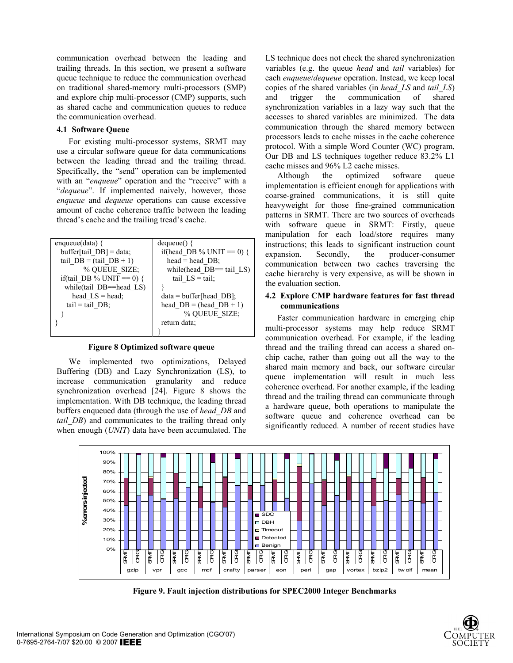communication overhead between the leading and trailing threads. In this section, we present a software queue technique to reduce the communication overhead on traditional shared-memory multi-processors (SMP) and explore chip multi-processor (CMP) supports, such as shared cache and communication queues to reduce the communication overhead.

#### **4.1 Software Queue**

For existing multi-processor systems, SRMT may use a circular software queue for data communications between the leading thread and the trailing thread. Specifically, the "send" operation can be implemented with an "*enqueue*" operation and the "receive" with a "*dequeue*". If implemented naively, however, those *enqueue* and *dequeue* operations can cause excessive amount of cache coherence traffic between the leading thread's cache and the trailing tread's cache.

| enqueue(data) $\{$          | $dequeue()$ {                  |
|-----------------------------|--------------------------------|
| $buffer[tail DB] = data;$   | if(head DB % UNIT $== 0)$ {    |
| tail $DB = (tail DB + 1)$   | $head = head DB;$              |
| % QUEUE SIZE;               | while $(head\ DB == tail\ LS)$ |
| if(tail DB % UNIT $== 0)$ { | tail $LS = tail$ ;             |
| while(tail_DB==head LS)     |                                |
| head $LS = head;$           | $data = buffer[head DB];$      |
| $tail = tail DB$ ;          | head $DB = (head DB + 1)$      |
|                             | % OUEUE SIZE;                  |
|                             | return data;                   |
|                             |                                |

**Figure 8 Optimized software queue** 

We implemented two optimizations, Delayed Buffering (DB) and Lazy Synchronization (LS), to increase communication granularity and reduce synchronization overhead [24]. Figure 8 shows the implementation. With DB technique, the leading thread buffers enqueued data (through the use of *head\_DB* and *tail DB*) and communicates to the trailing thread only when enough (*UNIT*) data have been accumulated. The LS technique does not check the shared synchronization variables (e.g. the queue *head* and *tail* variables) for each *enqueue*/*dequeue* operation. Instead, we keep local copies of the shared variables (in *head\_LS* and *tail\_LS*) and trigger the communication of shared synchronization variables in a lazy way such that the accesses to shared variables are minimized. The data communication through the shared memory between processors leads to cache misses in the cache coherence protocol. With a simple Word Counter (WC) program, Our DB and LS techniques together reduce 83.2% L1 cache misses and 96% L2 cache misses.

Although the optimized software queue implementation is efficient enough for applications with coarse-grained communications, it is still quite heavyweight for those fine-grained communication patterns in SRMT. There are two sources of overheads with software queue in SRMT: Firstly, queue manipulation for each load/store requires many instructions; this leads to significant instruction count expansion. Secondly, the producer-consumer communication between two caches traversing the cache hierarchy is very expensive, as will be shown in the evaluation section.

#### **4.2 Explore CMP hardware features for fast thread communications**

Faster communication hardware in emerging chip multi-processor systems may help reduce SRMT communication overhead. For example, if the leading thread and the trailing thread can access a shared onchip cache, rather than going out all the way to the shared main memory and back, our software circular queue implementation will result in much less coherence overhead. For another example, if the leading thread and the trailing thread can communicate through a hardware queue, both operations to manipulate the software queue and coherence overhead can be significantly reduced. A number of recent studies have



**Figure 9. Fault injection distributions for SPEC2000 Integer Benchmarks** 

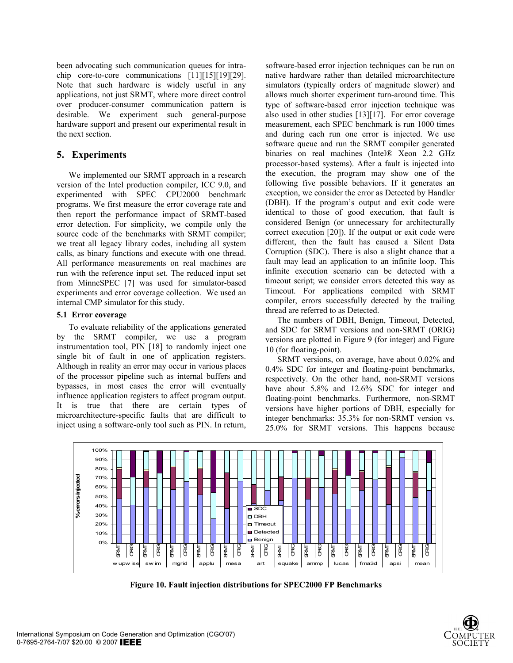been advocating such communication queues for intrachip core-to-core communications [11][15][19][29]. Note that such hardware is widely useful in any applications, not just SRMT, where more direct control over producer-consumer communication pattern is desirable. We experiment such general-purpose hardware support and present our experimental result in the next section.

## **5. Experiments**

We implemented our SRMT approach in a research version of the Intel production compiler, ICC 9.0, and experimented with SPEC CPU2000 benchmark programs. We first measure the error coverage rate and then report the performance impact of SRMT-based error detection. For simplicity, we compile only the source code of the benchmarks with SRMT compiler; we treat all legacy library codes, including all system calls, as binary functions and execute with one thread. All performance measurements on real machines are run with the reference input set. The reduced input set from MinneSPEC [7] was used for simulator-based experiments and error coverage collection. We used an internal CMP simulator for this study.

### **5.1 Error coverage**

To evaluate reliability of the applications generated by the SRMT compiler, we use a program instrumentation tool, PIN [18] to randomly inject one single bit of fault in one of application registers. Although in reality an error may occur in various places of the processor pipeline such as internal buffers and bypasses, in most cases the error will eventually influence application registers to affect program output. It is true that there are certain types of microarchitecture-specific faults that are difficult to inject using a software-only tool such as PIN. In return, software-based error injection techniques can be run on native hardware rather than detailed microarchitecture simulators (typically orders of magnitude slower) and allows much shorter experiment turn-around time. This type of software-based error injection technique was also used in other studies [13][17]. For error coverage measurement, each SPEC benchmark is run 1000 times and during each run one error is injected. We use software queue and run the SRMT compiler generated binaries on real machines (Intel® Xeon 2.2 GHz processor-based systems). After a fault is injected into the execution, the program may show one of the following five possible behaviors. If it generates an exception, we consider the error as Detected by Handler (DBH). If the program's output and exit code were identical to those of good execution, that fault is considered Benign (or unnecessary for architecturally correct execution [20]). If the output or exit code were different, then the fault has caused a Silent Data Corruption (SDC). There is also a slight chance that a fault may lead an application to an infinite loop. This infinite execution scenario can be detected with a timeout script; we consider errors detected this way as Timeout. For applications compiled with SRMT compiler, errors successfully detected by the trailing thread are referred to as Detected.

The numbers of DBH, Benign, Timeout, Detected, and SDC for SRMT versions and non-SRMT (ORIG) versions are plotted in Figure 9 (for integer) and Figure 10 (for floating-point).

SRMT versions, on average, have about 0.02% and 0.4% SDC for integer and floating-point benchmarks, respectively. On the other hand, non-SRMT versions have about 5.8% and 12.6% SDC for integer and floating-point benchmarks. Furthermore, non-SRMT versions have higher portions of DBH, especially for integer benchmarks: 35.3% for non-SRMT version vs. 25.0% for SRMT versions. This happens because



**Figure 10. Fault injection distributions for SPEC2000 FP Benchmarks** 

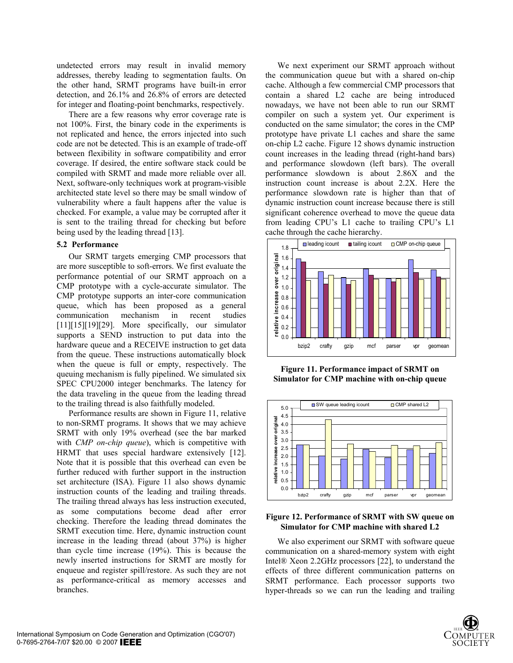undetected errors may result in invalid memory addresses, thereby leading to segmentation faults. On the other hand, SRMT programs have built-in error detection, and 26.1% and 26.8% of errors are detected for integer and floating-point benchmarks, respectively.

There are a few reasons why error coverage rate is not 100%. First, the binary code in the experiments is not replicated and hence, the errors injected into such code are not be detected. This is an example of trade-off between flexibility in software compatibility and error coverage. If desired, the entire software stack could be compiled with SRMT and made more reliable over all. Next, software-only techniques work at program-visible architected state level so there may be small window of vulnerability where a fault happens after the value is checked. For example, a value may be corrupted after it is sent to the trailing thread for checking but before being used by the leading thread [13].

#### **5.2 Performance**

Our SRMT targets emerging CMP processors that are more susceptible to soft-errors. We first evaluate the performance potential of our SRMT approach on a CMP prototype with a cycle-accurate simulator. The CMP prototype supports an inter-core communication queue, which has been proposed as a general communication mechanism in recent studies [11][15][19][29]. More specifically, our simulator supports a SEND instruction to put data into the hardware queue and a RECEIVE instruction to get data from the queue. These instructions automatically block when the queue is full or empty, respectively. The queuing mechanism is fully pipelined. We simulated six SPEC CPU2000 integer benchmarks. The latency for the data traveling in the queue from the leading thread to the trailing thread is also faithfully modeled.

Performance results are shown in Figure 11, relative to non-SRMT programs. It shows that we may achieve SRMT with only 19% overhead (see the bar marked with *CMP on-chip queue*), which is competitive with HRMT that uses special hardware extensively [12]. Note that it is possible that this overhead can even be further reduced with further support in the instruction set architecture (ISA). Figure 11 also shows dynamic instruction counts of the leading and trailing threads. The trailing thread always has less instruction executed, as some computations become dead after error checking. Therefore the leading thread dominates the SRMT execution time. Here, dynamic instruction count increase in the leading thread (about 37%) is higher than cycle time increase (19%). This is because the newly inserted instructions for SRMT are mostly for enqueue and register spill/restore. As such they are not as performance-critical as memory accesses and branches.

We next experiment our SRMT approach without the communication queue but with a shared on-chip cache. Although a few commercial CMP processors that contain a shared L2 cache are being introduced nowadays, we have not been able to run our SRMT compiler on such a system yet. Our experiment is conducted on the same simulator; the cores in the CMP prototype have private L1 caches and share the same on-chip L2 cache. Figure 12 shows dynamic instruction count increases in the leading thread (right-hand bars) and performance slowdown (left bars). The overall performance slowdown is about 2.86X and the instruction count increase is about 2.2X. Here the performance slowdown rate is higher than that of dynamic instruction count increase because there is still significant coherence overhead to move the queue data from leading CPU's L1 cache to trailing CPU's L1 cache through the cache hierarchy.



**Figure 11. Performance impact of SRMT on Simulator for CMP machine with on-chip queue** 



#### **Figure 12. Performance of SRMT with SW queue on Simulator for CMP machine with shared L2**

We also experiment our SRMT with software queue communication on a shared-memory system with eight Intel® Xeon 2.2GHz processors [22], to understand the effects of three different communication patterns on SRMT performance. Each processor supports two hyper-threads so we can run the leading and trailing

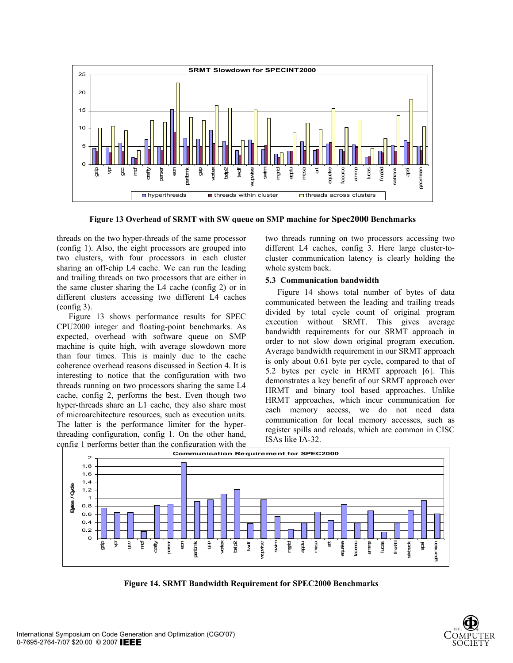

**Figure 13 Overhead of SRMT with SW queue on SMP machine for Spec2000 Benchmarks**

threads on the two hyper-threads of the same processor (config 1). Also, the eight processors are grouped into two clusters, with four processors in each cluster sharing an off-chip L4 cache. We can run the leading and trailing threads on two processors that are either in the same cluster sharing the L4 cache (config 2) or in different clusters accessing two different L4 caches (config 3).

Figure 13 shows performance results for SPEC CPU2000 integer and floating-point benchmarks. As expected, overhead with software queue on SMP machine is quite high, with average slowdown more than four times. This is mainly due to the cache coherence overhead reasons discussed in Section 4. It is interesting to notice that the configuration with two threads running on two processors sharing the same L4 cache, config 2, performs the best. Even though two hyper-threads share an L1 cache, they also share most of microarchitecture resources, such as execution units. The latter is the performance limiter for the hyperthreading configuration, config 1. On the other hand, config 1 performs better than the configuration with the

two threads running on two processors accessing two different L4 caches, config 3. Here large cluster-tocluster communication latency is clearly holding the whole system back.

### **5.3 Communication bandwidth**

Figure 14 shows total number of bytes of data communicated between the leading and trailing treads divided by total cycle count of original program execution without SRMT. This gives average bandwidth requirements for our SRMT approach in order to not slow down original program execution. Average bandwidth requirement in our SRMT approach is only about 0.61 byte per cycle, compared to that of 5.2 bytes per cycle in HRMT approach [6]. This demonstrates a key benefit of our SRMT approach over HRMT and binary tool based approaches. Unlike HRMT approaches, which incur communication for each memory access, we do not need data communication for local memory accesses, such as register spills and reloads, which are common in CISC ISAs like IA-32.



**Figure 14. SRMT Bandwidth Requirement for SPEC2000 Benchmarks** 

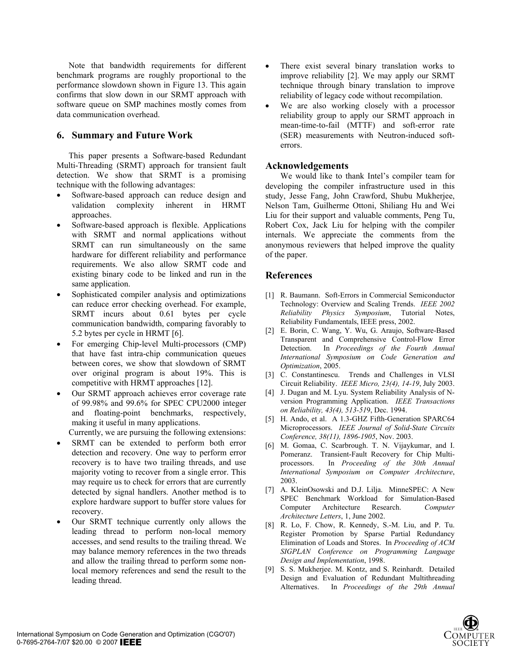Note that bandwidth requirements for different benchmark programs are roughly proportional to the performance slowdown shown in Figure 13. This again confirms that slow down in our SRMT approach with software queue on SMP machines mostly comes from data communication overhead.

### **6. Summary and Future Work**

This paper presents a Software-based Redundant Multi-Threading (SRMT) approach for transient fault detection. We show that SRMT is a promising technique with the following advantages:

- Software-based approach can reduce design and validation complexity inherent in HRMT approaches.
- Software-based approach is flexible. Applications with SRMT and normal applications without SRMT can run simultaneously on the same hardware for different reliability and performance requirements. We also allow SRMT code and existing binary code to be linked and run in the same application.
- Sophisticated compiler analysis and optimizations can reduce error checking overhead. For example, SRMT incurs about 0.61 bytes per cycle communication bandwidth, comparing favorably to 5.2 bytes per cycle in HRMT [6].
- For emerging Chip-level Multi-processors (CMP) that have fast intra-chip communication queues between cores, we show that slowdown of SRMT over original program is about 19%. This is competitive with HRMT approaches [12].
- Our SRMT approach achieves error coverage rate of 99.98% and 99.6% for SPEC CPU2000 integer and floating-point benchmarks, respectively, making it useful in many applications.

Currently, we are pursuing the following extensions:

- SRMT can be extended to perform both error detection and recovery. One way to perform error recovery is to have two trailing threads, and use majority voting to recover from a single error. This may require us to check for errors that are currently detected by signal handlers. Another method is to explore hardware support to buffer store values for recovery.
- Our SRMT technique currently only allows the leading thread to perform non-local memory accesses, and send results to the trailing thread. We may balance memory references in the two threads and allow the trailing thread to perform some nonlocal memory references and send the result to the leading thread.
- There exist several binary translation works to improve reliability [2]. We may apply our SRMT technique through binary translation to improve reliability of legacy code without recompilation.
- We are also working closely with a processor reliability group to apply our SRMT approach in mean-time-to-fail (MTTF) and soft-error rate (SER) measurements with Neutron-induced softerrors.

### **Acknowledgements**

We would like to thank Intel's compiler team for developing the compiler infrastructure used in this study, Jesse Fang, John Crawford, Shubu Mukherjee, Nelson Tam, Guilherme Ottoni, Shiliang Hu and Wei Liu for their support and valuable comments, Peng Tu, Robert Cox, Jack Liu for helping with the compiler internals. We appreciate the comments from the anonymous reviewers that helped improve the quality of the paper.

### **References**

- [1] R. Baumann. Soft-Errors in Commercial Semiconductor Technology: Overview and Scaling Trends. *IEEE 2002 Reliability Physics Symposium*, Tutorial Notes, Reliability Fundamentals, IEEE press, 2002.
- [2] E. Borin, C. Wang, Y. Wu, G. Araujo, Software-Based Transparent and Comprehensive Control-Flow Error Detection. In *Proceedings of the Fourth Annual International Symposium on Code Generation and Optimization*, 2005.
- [3] C. Constantinescu. Trends and Challenges in VLSI Circuit Reliability. *IEEE Micro, 23(4), 14-19*, July 2003.
- [4] J. Dugan and M. Lyu. System Reliability Analysis of Nversion Programming Application. *IEEE Transactions on Reliability, 43(4), 513-51*9, Dec. 1994.
- [5] H. Ando, et al. A 1.3-GHZ Fifth-Generation SPARC64 Microprocessors. *IEEE Journal of Solid-State Circuits Conference, 38(11), 1896-1905*, Nov. 2003.
- [6] M. Gomaa, C. Scarbrough. T. N. Vijaykumar, and I. Pomeranz. Transient-Fault Recovery for Chip Multiprocessors. In *Proceeding of the 30th Annual International Symposium on Computer Architecture*, 2003.
- [7] A. KleinOsowski and D.J. Lilja. MinneSPEC: A New SPEC Benchmark Workload for Simulation-Based Computer Architecture Research. *Computer Architecture Letters*, 1, June 2002.
- [8] R. Lo, F. Chow, R. Kennedy, S.-M. Liu, and P. Tu. Register Promotion by Sparse Partial Redundancy Elimination of Loads and Stores. In *Proceeding of ACM SIGPLAN Conference on Programming Language Design and Implementation*, 1998.
- [9] S. S. Mukherjee. M. Kontz, and S. Reinhardt. Detailed Design and Evaluation of Redundant Multithreading Alternatives. In *Proceedings of the 29th Annual*